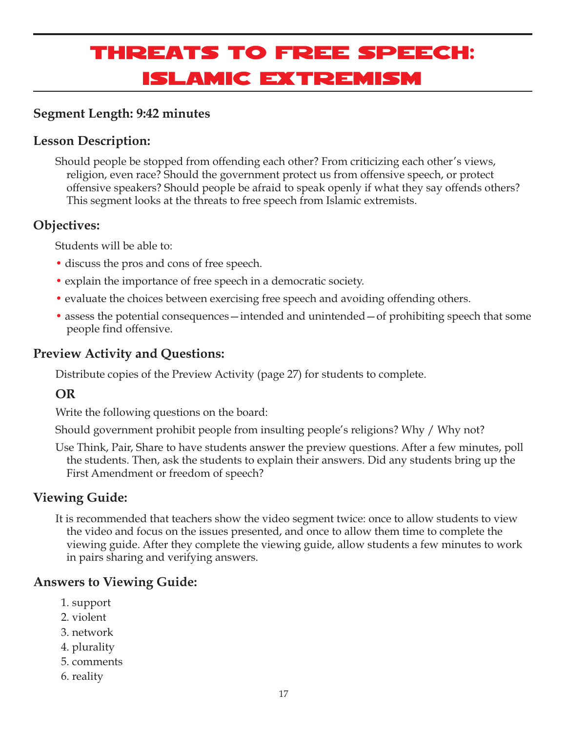# Threats to Free Speech: Islamic Extremism

## **Segment Length: 9:42 minutes**

## **Lesson Description:**

Should people be stopped from offending each other? From criticizing each other's views, religion, even race? Should the government protect us from offensive speech, or protect offensive speakers? Should people be afraid to speak openly if what they say offends others? This segment looks at the threats to free speech from Islamic extremists.

## **Objectives:**

Students will be able to:

- discuss the pros and cons of free speech.
- explain the importance of free speech in a democratic society.
- evaluate the choices between exercising free speech and avoiding offending others.
- assess the potential consequences intended and unintended of prohibiting speech that some people find offensive.

## **Preview Activity and Questions:**

Distribute copies of the Preview Activity (page 27) for students to complete.

## **OR**

Write the following questions on the board:

Should government prohibit people from insulting people's religions? Why / Why not?

Use Think, Pair, Share to have students answer the preview questions. After a few minutes, poll the students. Then, ask the students to explain their answers. Did any students bring up the First Amendment or freedom of speech?

## **Viewing Guide:**

It is recommended that teachers show the video segment twice: once to allow students to view the video and focus on the issues presented, and once to allow them time to complete the viewing guide. After they complete the viewing guide, allow students a few minutes to work in pairs sharing and verifying answers.

## **Answers to Viewing Guide:**

- 1. support
- 2. violent
- 3. network
- 4. plurality
- 5. comments
- 6. reality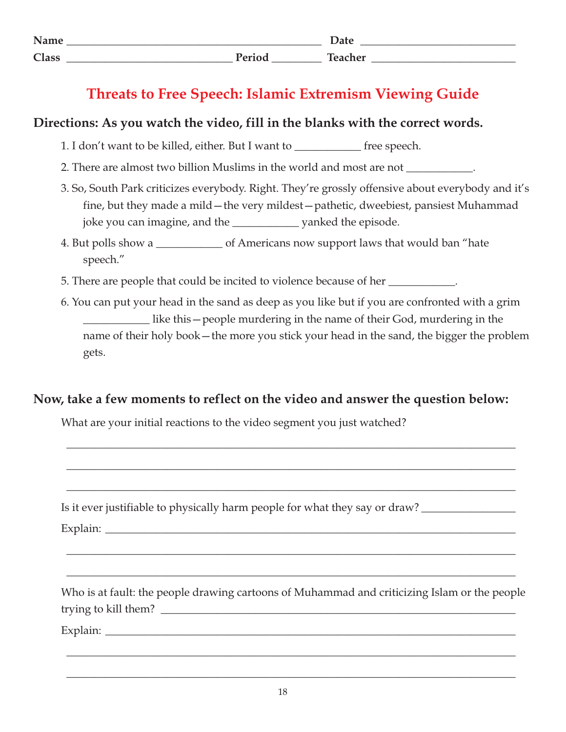| Name         |                                                    | Dair                                               |
|--------------|----------------------------------------------------|----------------------------------------------------|
| <b>Class</b> | $\mathbf{D}$ <sub>and</sub> $\mathbf{I}$<br>$\sim$ | <b>Contract Contract Contract Contract</b><br>سمعك |

## **Threats to Free Speech: Islamic Extremism Viewing Guide**

## **Directions: As you watch the video, fill in the blanks with the correct words.**

- 1. I don't want to be killed, either. But I want to \_\_\_\_\_\_\_\_\_\_\_\_ free speech.
- 2. There are almost two billion Muslims in the world and most are not \_\_\_\_\_\_\_\_\_\_
- 3. So, South Park criticizes everybody. Right. They're grossly offensive about everybody and it's fine, but they made a mild—the very mildest—pathetic, dweebiest, pansiest Muhammad joke you can imagine, and the \_\_\_\_\_\_\_\_\_\_\_\_ yanked the episode.
- 4. But polls show a \_\_\_\_\_\_\_\_\_\_\_\_ of Americans now support laws that would ban "hate speech."
- 5. There are people that could be incited to violence because of her \_\_\_\_\_\_\_\_\_\_\_.
- 6. You can put your head in the sand as deep as you like but if you are confronted with a grim \_\_\_\_\_\_\_\_\_\_\_\_ like this—people murdering in the name of their God, murdering in the name of their holy book—the more you stick your head in the sand, the bigger the problem gets.

## **Now, take a few moments to reflect on the video and answer the question below:**

What are your initial reactions to the video segment you just watched?

| Is it ever justifiable to physically harm people for what they say or draw?                  |
|----------------------------------------------------------------------------------------------|
|                                                                                              |
|                                                                                              |
| Who is at fault: the people drawing cartoons of Muhammad and criticizing Islam or the people |
|                                                                                              |
|                                                                                              |

\_\_\_\_\_\_\_\_\_\_\_\_\_\_\_\_\_\_\_\_\_\_\_\_\_\_\_\_\_\_\_\_\_\_\_\_\_\_\_\_\_\_\_\_\_\_\_\_\_\_\_\_\_\_\_\_\_\_\_\_\_\_\_\_\_\_\_\_\_\_\_\_\_\_\_\_\_\_\_\_\_

\_\_\_\_\_\_\_\_\_\_\_\_\_\_\_\_\_\_\_\_\_\_\_\_\_\_\_\_\_\_\_\_\_\_\_\_\_\_\_\_\_\_\_\_\_\_\_\_\_\_\_\_\_\_\_\_\_\_\_\_\_\_\_\_\_\_\_\_\_\_\_\_\_\_\_\_\_\_\_\_\_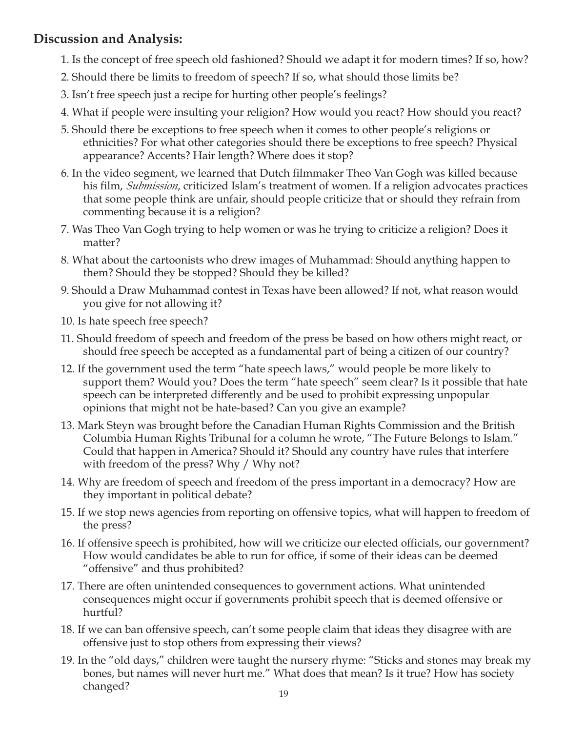## **Discussion and Analysis:**

- 1. Is the concept of free speech old fashioned? Should we adapt it for modern times? If so, how?
- 2. Should there be limits to freedom of speech? If so, what should those limits be?
- 3. Isn't free speech just a recipe for hurting other people's feelings?
- 4. What if people were insulting your religion? How would you react? How should you react?
- 5. Should there be exceptions to free speech when it comes to other people's religions or ethnicities? For what other categories should there be exceptions to free speech? Physical appearance? Accents? Hair length? Where does it stop?
- 6. In the video segment, we learned that Dutch filmmaker Theo Van Gogh was killed because his film, *Submission*, criticized Islam's treatment of women. If a religion advocates practices that some people think are unfair, should people criticize that or should they refrain from commenting because it is a religion?
- 7. Was Theo Van Gogh trying to help women or was he trying to criticize a religion? Does it matter?
- 8. What about the cartoonists who drew images of Muhammad: Should anything happen to them? Should they be stopped? Should they be killed?
- 9. Should a Draw Muhammad contest in Texas have been allowed? If not, what reason would you give for not allowing it?
- 10. Is hate speech free speech?
- 11. Should freedom of speech and freedom of the press be based on how others might react, or should free speech be accepted as a fundamental part of being a citizen of our country?
- 12. If the government used the term "hate speech laws," would people be more likely to support them? Would you? Does the term "hate speech" seem clear? Is it possible that hate speech can be interpreted differently and be used to prohibit expressing unpopular opinions that might not be hate-based? Can you give an example?
- 13. Mark Steyn was brought before the Canadian Human Rights Commission and the British Columbia Human Rights Tribunal for a column he wrote, "The Future Belongs to Islam." Could that happen in America? Should it? Should any country have rules that interfere with freedom of the press? Why / Why not?
- 14. Why are freedom of speech and freedom of the press important in a democracy? How are they important in political debate?
- 15. If we stop news agencies from reporting on offensive topics, what will happen to freedom of the press?
- 16. If offensive speech is prohibited, how will we criticize our elected officials, our government? How would candidates be able to run for office, if some of their ideas can be deemed "offensive" and thus prohibited?
- 17. There are often unintended consequences to government actions. What unintended consequences might occur if governments prohibit speech that is deemed offensive or hurtful?
- 18. If we can ban offensive speech, can't some people claim that ideas they disagree with are offensive just to stop others from expressing their views?
- 19. In the "old days," children were taught the nursery rhyme: "Sticks and stones may break my bones, but names will never hurt me." What does that mean? Is it true? How has society changed?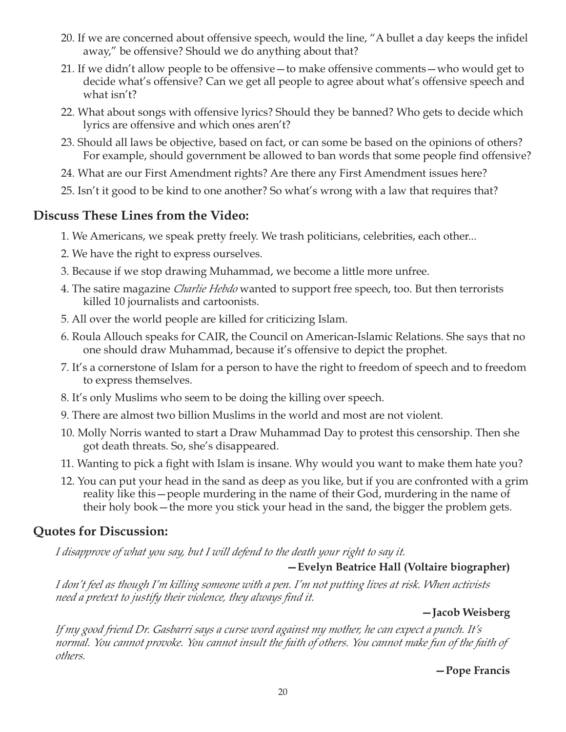- 20. If we are concerned about offensive speech, would the line, "A bullet a day keeps the infidel away," be offensive? Should we do anything about that?
- 21. If we didn't allow people to be offensive—to make offensive comments—who would get to decide what's offensive? Can we get all people to agree about what's offensive speech and what isn't?
- 22. What about songs with offensive lyrics? Should they be banned? Who gets to decide which lyrics are offensive and which ones aren't?
- 23. Should all laws be objective, based on fact, or can some be based on the opinions of others? For example, should government be allowed to ban words that some people find offensive?
- 24. What are our First Amendment rights? Are there any First Amendment issues here?
- 25. Isn't it good to be kind to one another? So what's wrong with a law that requires that?

## **Discuss These Lines from the Video:**

- 1. We Americans, we speak pretty freely. We trash politicians, celebrities, each other...
- 2. We have the right to express ourselves.
- 3. Because if we stop drawing Muhammad, we become a little more unfree.
- 4. The satire magazine *Charlie Hebdo* wanted to support free speech, too. But then terrorists killed 10 journalists and cartoonists.
- 5. All over the world people are killed for criticizing Islam.
- 6. Roula Allouch speaks for CAIR, the Council on American-Islamic Relations. She says that no one should draw Muhammad, because it's offensive to depict the prophet.
- 7. It's a cornerstone of Islam for a person to have the right to freedom of speech and to freedom to express themselves.
- 8. It's only Muslims who seem to be doing the killing over speech.
- 9. There are almost two billion Muslims in the world and most are not violent.
- 10. Molly Norris wanted to start a Draw Muhammad Day to protest this censorship. Then she got death threats. So, she's disappeared.
- 11. Wanting to pick a fight with Islam is insane. Why would you want to make them hate you?
- 12. You can put your head in the sand as deep as you like, but if you are confronted with a grim reality like this—people murdering in the name of their God, murdering in the name of their holy book—the more you stick your head in the sand, the bigger the problem gets.

## **Quotes for Discussion:**

*I disapprove of what you say, but I will defend to the death your right to say it.*

## **—Evelyn Beatrice Hall (Voltaire biographer)**

*I don't feel as though I'm killing someone with a pen. I'm not putting lives at risk. When activists need a pretext to justify their violence, they always find it.*

#### **—Jacob Weisberg**

*If my good friend Dr. Gasbarri says a curse word against my mother, he can expect a punch. It's normal. You cannot provoke. You cannot insult the faith of others. You cannot make fun of the faith of others.*

**—Pope Francis**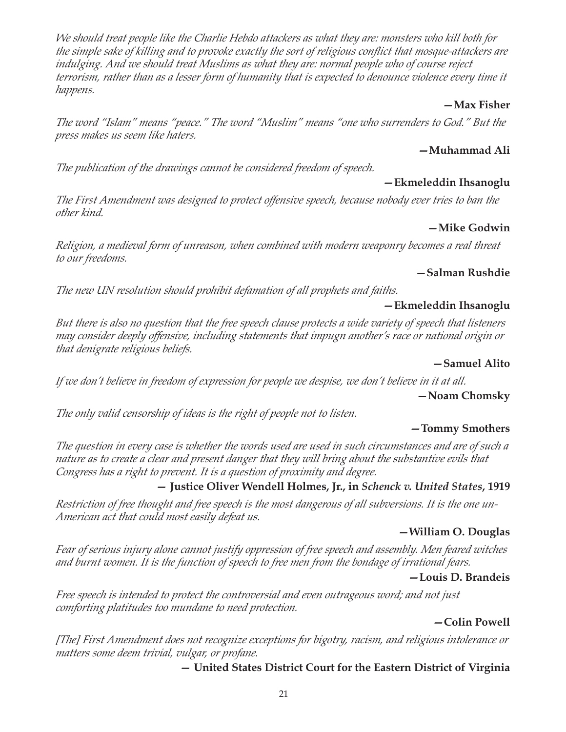21

*We should treat people like the Charlie Hebdo attackers as what they are: monsters who kill both for the simple sake of killing and to provoke exactly the sort of religious conflict that mosque-attackers are indulging. And we should treat Muslims as what they are: normal people who of course reject terrorism, rather than as a lesser form of humanity that is expected to denounce violence every time it happens.*

#### **—Max Fisher**

*The word "Islam" means "peace." The word "Muslim" means "one who surrenders to God." But the press makes us seem like haters.*

## **—Muhammad Ali**

*The publication of the drawings cannot be considered freedom of speech.*

#### **—Ekmeleddin Ihsanoglu**

*The First Amendment was designed to protect offensive speech, because nobody ever tries to ban the other kind.*

#### **—Mike Godwin**

*Religion, a medieval form of unreason, when combined with modern weaponry becomes a real threat to our freedoms.*

#### **—Salman Rushdie**

*The new UN resolution should prohibit defamation of all prophets and faiths.*

#### **—Ekmeleddin Ihsanoglu**

*But there is also no question that the free speech clause protects a wide variety of speech that listeners may consider deeply offensive, including statements that impugn another's race or national origin or that denigrate religious beliefs.*

#### **—Samuel Alito**

*If we don't believe in freedom of expression for people we despise, we don't believe in it at all.* **—Noam Chomsky**

*The only valid censorship of ideas is the right of people not to listen.*

#### **—Tommy Smothers**

*The question in every case is whether the words used are used in such circumstances and are of such a nature as to create a clear and present danger that they will bring about the substantive evils that Congress has a right to prevent. It is a question of proximity and degree.*

## **— Justice Oliver Wendell Holmes, Jr., in** *Schenck v. United States***, 1919**

*Restriction of free thought and free speech is the most dangerous of all subversions. It is the one un-American act that could most easily defeat us.*

#### **—William O. Douglas**

*Fear of serious injury alone cannot justify oppression of free speech and assembly. Men feared witches and burnt women. It is the function of speech to free men from the bondage of irrational fears.*

#### **—Louis D. Brandeis**

*Free speech is intended to protect the controversial and even outrageous word; and not just comforting platitudes too mundane to need protection.*

#### **—Colin Powell**

*[The] First Amendment does not recognize exceptions for bigotry, racism, and religious intolerance or matters some deem trivial, vulgar, or profane.*

#### **— United States District Court for the Eastern District of Virginia**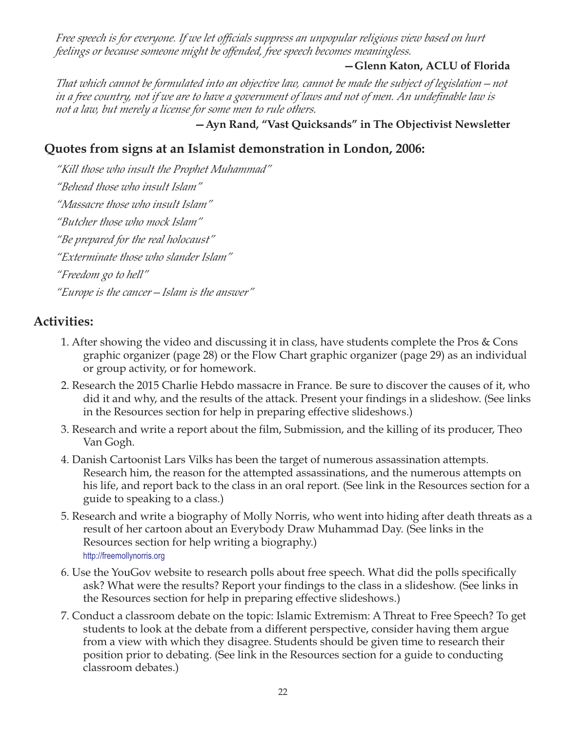*Free speech is for everyone. If we let officials suppress an unpopular religious view based on hurt feelings or because someone might be offended, free speech becomes meaningless.*

#### **—Glenn Katon, ACLU of Florida**

*That which cannot be formulated into an objective law, cannot be made the subject of legislation—not in a free country, not if we are to have a government of laws and not of men. An undefinable law is not a law, but merely a license for some men to rule others.*

**—Ayn Rand, "Vast Quicksands" in The Objectivist Newsletter**

## **Quotes from signs at an Islamist demonstration in London, 2006:**

*"Kill those who insult the Prophet Muhammad" "Behead those who insult Islam" "Massacre those who insult Islam" "Butcher those who mock Islam" "Be prepared for the real holocaust" "Exterminate those who slander Islam" "Freedom go to hell" "Europe is the cancer—Islam is the answer"*

## **Activities:**

- 1. After showing the video and discussing it in class, have students complete the Pros & Cons graphic organizer (page 28) or the Flow Chart graphic organizer (page 29) as an individual or group activity, or for homework.
- 2. Research the 2015 Charlie Hebdo massacre in France. Be sure to discover the causes of it, who did it and why, and the results of the attack. Present your findings in a slideshow. (See links in the Resources section for help in preparing effective slideshows.)
- 3. Research and write a report about the film, Submission, and the killing of its producer, Theo Van Gogh.
- 4. Danish Cartoonist Lars Vilks has been the target of numerous assassination attempts. Research him, the reason for the attempted assassinations, and the numerous attempts on his life, and report back to the class in an oral report. (See link in the Resources section for a guide to speaking to a class.)
- 5. Research and write a biography of Molly Norris, who went into hiding after death threats as a result of her cartoon about an Everybody Draw Muhammad Day. (See links in the Resources section for help writing a biography.) http://freemollynorris.org
- 6. Use the YouGov website to research polls about free speech. What did the polls specifically ask? What were the results? Report your findings to the class in a slideshow. (See links in the Resources section for help in preparing effective slideshows.)
- 7. Conduct a classroom debate on the topic: Islamic Extremism: A Threat to Free Speech? To get students to look at the debate from a different perspective, consider having them argue from a view with which they disagree. Students should be given time to research their position prior to debating. (See link in the Resources section for a guide to conducting classroom debates.)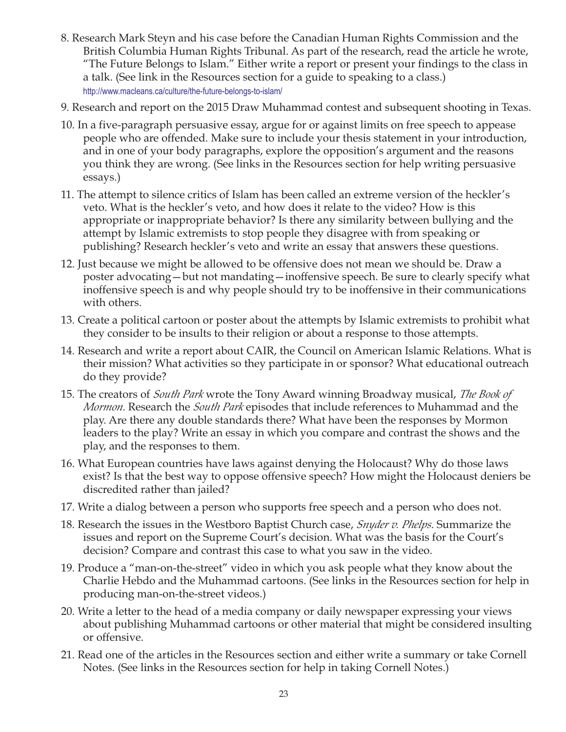- 8. Research Mark Steyn and his case before the Canadian Human Rights Commission and the British Columbia Human Rights Tribunal. As part of the research, read the article he wrote, "The Future Belongs to Islam." Either write a report or present your findings to the class in a talk. (See link in the Resources section for a guide to speaking to a class.) http://www.macleans.ca/culture/the-future-belongs-to-islam/
- 9. Research and report on the 2015 Draw Muhammad contest and subsequent shooting in Texas.
- 10. In a five-paragraph persuasive essay, argue for or against limits on free speech to appease people who are offended. Make sure to include your thesis statement in your introduction, and in one of your body paragraphs, explore the opposition's argument and the reasons you think they are wrong. (See links in the Resources section for help writing persuasive essays.)
- 11. The attempt to silence critics of Islam has been called an extreme version of the heckler's veto. What is the heckler's veto, and how does it relate to the video? How is this appropriate or inappropriate behavior? Is there any similarity between bullying and the attempt by Islamic extremists to stop people they disagree with from speaking or publishing? Research heckler's veto and write an essay that answers these questions.
- 12. Just because we might be allowed to be offensive does not mean we should be. Draw a poster advocating—but not mandating—inoffensive speech. Be sure to clearly specify what inoffensive speech is and why people should try to be inoffensive in their communications with others.
- 13. Create a political cartoon or poster about the attempts by Islamic extremists to prohibit what they consider to be insults to their religion or about a response to those attempts.
- 14. Research and write a report about CAIR, the Council on American Islamic Relations. What is their mission? What activities so they participate in or sponsor? What educational outreach do they provide?
- 15. The creators of *South Park* wrote the Tony Award winning Broadway musical, *The Book of Mormon*. Research the *South Park* episodes that include references to Muhammad and the play. Are there any double standards there? What have been the responses by Mormon leaders to the play? Write an essay in which you compare and contrast the shows and the play, and the responses to them.
- 16. What European countries have laws against denying the Holocaust? Why do those laws exist? Is that the best way to oppose offensive speech? How might the Holocaust deniers be discredited rather than jailed?
- 17. Write a dialog between a person who supports free speech and a person who does not.
- 18. Research the issues in the Westboro Baptist Church case, *Snyder v. Phelps*. Summarize the issues and report on the Supreme Court's decision. What was the basis for the Court's decision? Compare and contrast this case to what you saw in the video.
- 19. Produce a "man-on-the-street" video in which you ask people what they know about the Charlie Hebdo and the Muhammad cartoons. (See links in the Resources section for help in producing man-on-the-street videos.)
- 20. Write a letter to the head of a media company or daily newspaper expressing your views about publishing Muhammad cartoons or other material that might be considered insulting or offensive.
- 21. Read one of the articles in the Resources section and either write a summary or take Cornell Notes. (See links in the Resources section for help in taking Cornell Notes.)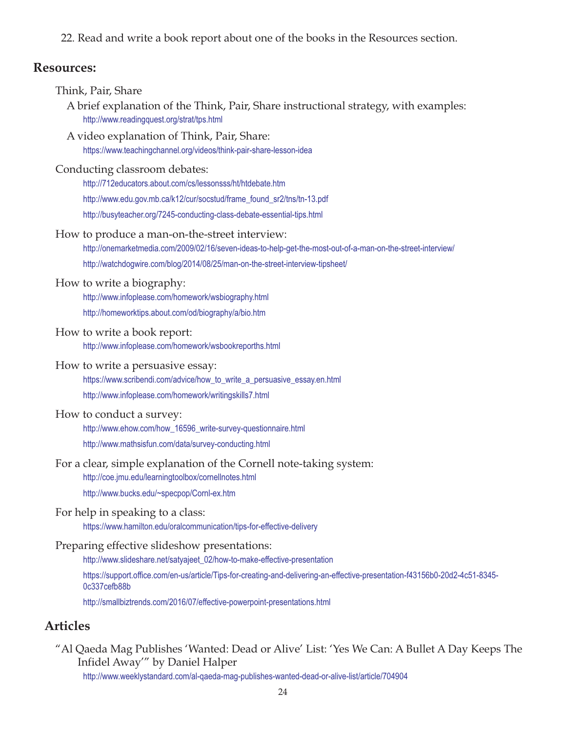22. Read and write a book report about one of the books in the Resources section.

## **Resources:**

| Think, Pair, Share<br>A brief explanation of the Think, Pair, Share instructional strategy, with examples:<br>http://www.readingquest.org/strat/tps.html                                                                                         |
|--------------------------------------------------------------------------------------------------------------------------------------------------------------------------------------------------------------------------------------------------|
| A video explanation of Think, Pair, Share:<br>https://www.teachingchannel.org/videos/think-pair-share-lesson-idea                                                                                                                                |
| Conducting classroom debates:<br>http://712educators.about.com/cs/lessonsss/ht/htdebate.htm<br>http://www.edu.gov.mb.ca/k12/cur/socstud/frame_found_sr2/tns/tn-13.pdf<br>http://busyteacher.org/7245-conducting-class-debate-essential-tips.html |
| How to produce a man-on-the-street interview:<br>http://onemarketmedia.com/2009/02/16/seven-ideas-to-help-get-the-most-out-of-a-man-on-the-street-interview/<br>http://watchdogwire.com/blog/2014/08/25/man-on-the-street-interview-tipsheet/    |
| How to write a biography:<br>http://www.infoplease.com/homework/wsbiography.html<br>http://homeworktips.about.com/od/biography/a/bio.htm                                                                                                         |
| How to write a book report:<br>http://www.infoplease.com/homework/wsbookreporths.html                                                                                                                                                            |
| How to write a persuasive essay:<br>https://www.scribendi.com/advice/how_to_write_a_persuasive_essay.en.html<br>http://www.infoplease.com/homework/writingskills7.html                                                                           |
| How to conduct a survey:<br>http://www.ehow.com/how_16596_write-survey-questionnaire.html<br>http://www.mathsisfun.com/data/survey-conducting.html                                                                                               |
| For a clear, simple explanation of the Cornell note-taking system:<br>http://coe.jmu.edu/learningtoolbox/cornellnotes.html<br>http://www.bucks.edu/~specpop/Cornl-ex.htm                                                                         |
| For help in speaking to a class:<br>https://www.hamilton.edu/oralcommunication/tips-for-effective-delivery                                                                                                                                       |
| Preparing effective slideshow presentations:<br>http://www.slideshare.net/satyajeet_02/how-to-make-effective-presentation                                                                                                                        |
| https://support.office.com/en-us/article/Tips-for-creating-and-delivering-an-effective-presentation-f43156b0-20d2-4c51-8345-<br>0c337cefb88b<br>http://smallbiztrends.com/2016/07/effective-powerpoint-presentations.html                        |
| <b>Articles</b>                                                                                                                                                                                                                                  |

"Al Qaeda Mag Publishes 'Wanted: Dead or Alive' List: 'Yes We Can: A Bullet A Day Keeps The Infidel Away'" by Daniel Halper

http://www.weeklystandard.com/al-qaeda-mag-publishes-wanted-dead-or-alive-list/article/704904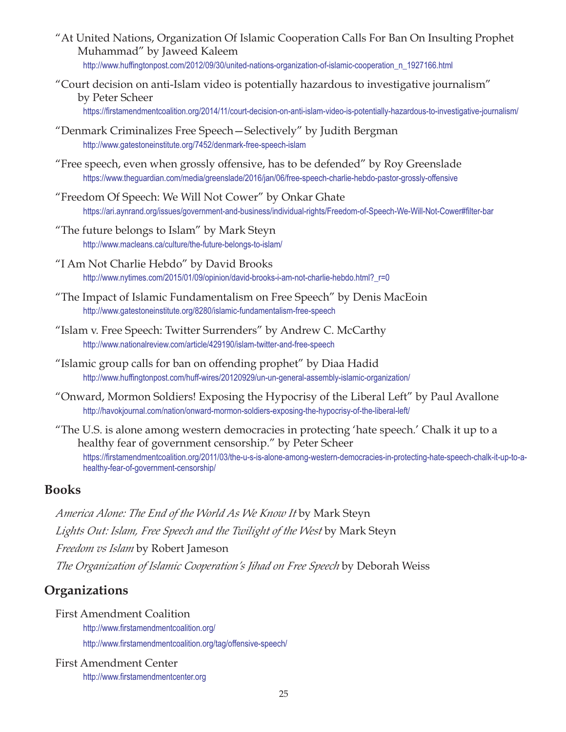- "At United Nations, Organization Of Islamic Cooperation Calls For Ban On Insulting Prophet Muhammad" by Jaweed Kaleem http://www.huffingtonpost.com/2012/09/30/united-nations-organization-of-islamic-cooperation\_n\_1927166.html
- "Court decision on anti-Islam video is potentially hazardous to investigative journalism" by Peter Scheer
	- https://firstamendmentcoalition.org/2014/11/court-decision-on-anti-islam-video-is-potentially-hazardous-to-investigative-journalism/
- "Denmark Criminalizes Free Speech—Selectively" by Judith Bergman http://www.gatestoneinstitute.org/7452/denmark-free-speech-islam
- "Free speech, even when grossly offensive, has to be defended" by Roy Greenslade https://www.theguardian.com/media/greenslade/2016/jan/06/free-speech-charlie-hebdo-pastor-grossly-offensive
- "Freedom Of Speech: We Will Not Cower" by Onkar Ghate https://ari.aynrand.org/issues/government-and-business/individual-rights/Freedom-of-Speech-We-Will-Not-Cower#filter-bar
- "The future belongs to Islam" by Mark Steyn http://www.macleans.ca/culture/the-future-belongs-to-islam/
- "I Am Not Charlie Hebdo" by David Brooks http://www.nytimes.com/2015/01/09/opinion/david-brooks-i-am-not-charlie-hebdo.html?\_r=0
- "The Impact of Islamic Fundamentalism on Free Speech" by Denis MacEoin http://www.gatestoneinstitute.org/8280/islamic-fundamentalism-free-speech
- "Islam v. Free Speech: Twitter Surrenders" by Andrew C. McCarthy http://www.nationalreview.com/article/429190/islam-twitter-and-free-speech
- "Islamic group calls for ban on offending prophet" by Diaa Hadid http://www.huffingtonpost.com/huff-wires/20120929/un-un-general-assembly-islamic-organization/
- "Onward, Mormon Soldiers! Exposing the Hypocrisy of the Liberal Left" by Paul Avallone http://havokjournal.com/nation/onward-mormon-soldiers-exposing-the-hypocrisy-of-the-liberal-left/
- "The U.S. is alone among western democracies in protecting 'hate speech.' Chalk it up to a healthy fear of government censorship." by Peter Scheer https://firstamendmentcoalition.org/2011/03/the-u-s-is-alone-among-western-democracies-in-protecting-hate-speech-chalk-it-up-to-ahealthy-fear-of-government-censorship/

#### **Books**

*America Alone: The End of the World As We Know It* by Mark Steyn *Lights Out: Islam, Free Speech and the Twilight of the West* by Mark Steyn *Freedom vs Islam* by Robert Jameson *The Organization of Islamic Cooperation's Jihad on Free Speech* by Deborah Weiss

## **Organizations**

- First Amendment Coalition http://www.firstamendmentcoalition.org/ http://www.firstamendmentcoalition.org/tag/offensive-speech/
- First Amendment Center http://www.firstamendmentcenter.org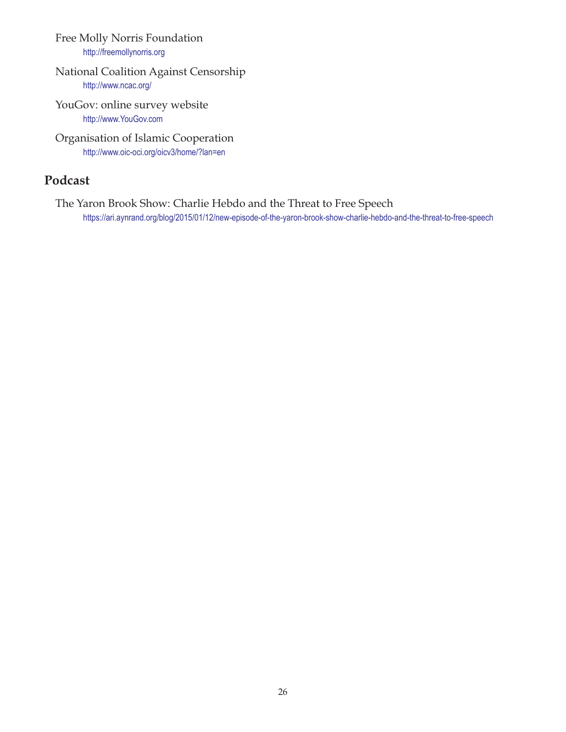Free Molly Norris Foundation http://freemollynorris.org

#### National Coalition Against Censorship http://www.ncac.org/

YouGov: online survey website http://www.YouGov.com

Organisation of Islamic Cooperation http://www.oic-oci.org/oicv3/home/?lan=en

## **Podcast**

The Yaron Brook Show: Charlie Hebdo and the Threat to Free Speech https://ari.aynrand.org/blog/2015/01/12/new-episode-of-the-yaron-brook-show-charlie-hebdo-and-the-threat-to-free-speech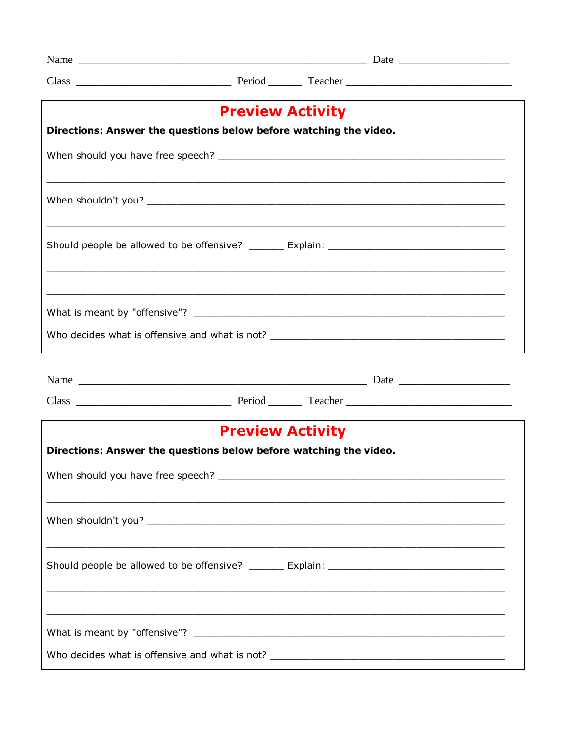| <b>Preview Activity</b>                                           |  |  |  |  |  |
|-------------------------------------------------------------------|--|--|--|--|--|
| Directions: Answer the questions below before watching the video. |  |  |  |  |  |
|                                                                   |  |  |  |  |  |
|                                                                   |  |  |  |  |  |
|                                                                   |  |  |  |  |  |
|                                                                   |  |  |  |  |  |
|                                                                   |  |  |  |  |  |
|                                                                   |  |  |  |  |  |
|                                                                   |  |  |  |  |  |
|                                                                   |  |  |  |  |  |
| <b>Preview Activity</b>                                           |  |  |  |  |  |
| Directions: Answer the questions below before watching the video. |  |  |  |  |  |
|                                                                   |  |  |  |  |  |
|                                                                   |  |  |  |  |  |
|                                                                   |  |  |  |  |  |
|                                                                   |  |  |  |  |  |
|                                                                   |  |  |  |  |  |
|                                                                   |  |  |  |  |  |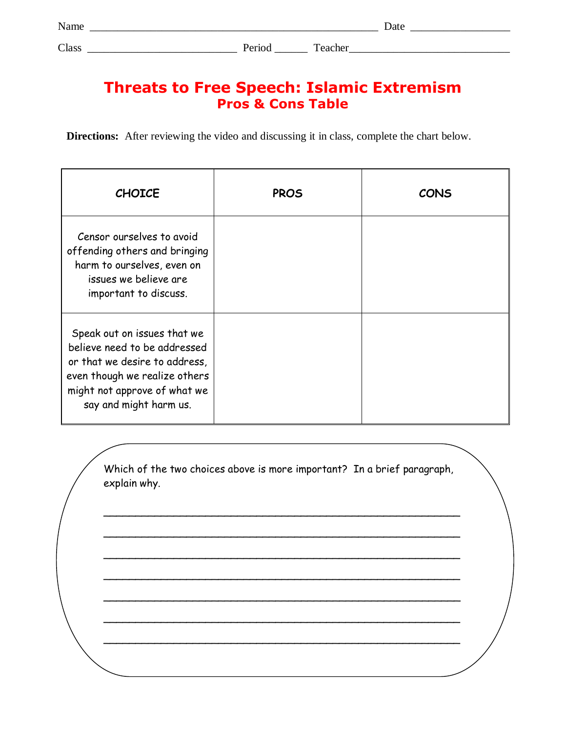# **Threats to Free Speech: Islamic Extremism Pros & Cons Table**

**Directions:** After reviewing the video and discussing it in class, complete the chart below.

| <b>CHOICE</b>                                                                                                                                                                           | <b>PROS</b> | CONS |
|-----------------------------------------------------------------------------------------------------------------------------------------------------------------------------------------|-------------|------|
| Censor ourselves to avoid<br>offending others and bringing<br>harm to ourselves, even on<br>issues we believe are<br>important to discuss.                                              |             |      |
| Speak out on issues that we<br>believe need to be addressed<br>or that we desire to address,<br>even though we realize others<br>might not approve of what we<br>say and might harm us. |             |      |

Which of the two choices above is more important? In a brief paragraph, explain why.

\_\_\_\_\_\_\_\_\_\_\_\_\_\_\_\_\_\_\_\_\_\_\_\_\_\_\_\_\_\_\_\_\_\_\_\_\_\_\_\_\_\_\_\_\_\_\_\_\_\_\_\_\_\_\_\_

\_\_\_\_\_\_\_\_\_\_\_\_\_\_\_\_\_\_\_\_\_\_\_\_\_\_\_\_\_\_\_\_\_\_\_\_\_\_\_\_\_\_\_\_\_\_\_\_\_\_\_\_\_\_\_\_

\_\_\_\_\_\_\_\_\_\_\_\_\_\_\_\_\_\_\_\_\_\_\_\_\_\_\_\_\_\_\_\_\_\_\_\_\_\_\_\_\_\_\_\_\_\_\_\_\_\_\_\_\_\_\_\_

\_\_\_\_\_\_\_\_\_\_\_\_\_\_\_\_\_\_\_\_\_\_\_\_\_\_\_\_\_\_\_\_\_\_\_\_\_\_\_\_\_\_\_\_\_\_\_\_\_\_\_\_\_\_\_\_

\_\_\_\_\_\_\_\_\_\_\_\_\_\_\_\_\_\_\_\_\_\_\_\_\_\_\_\_\_\_\_\_\_\_\_\_\_\_\_\_\_\_\_\_\_\_\_\_\_\_\_\_\_\_\_\_

\_\_\_\_\_\_\_\_\_\_\_\_\_\_\_\_\_\_\_\_\_\_\_\_\_\_\_\_\_\_\_\_\_\_\_\_\_\_\_\_\_\_\_\_\_\_\_\_\_\_\_\_\_\_\_\_

\_\_\_\_\_\_\_\_\_\_\_\_\_\_\_\_\_\_\_\_\_\_\_\_\_\_\_\_\_\_\_\_\_\_\_\_\_\_\_\_\_\_\_\_\_\_\_\_\_\_\_\_\_\_\_\_